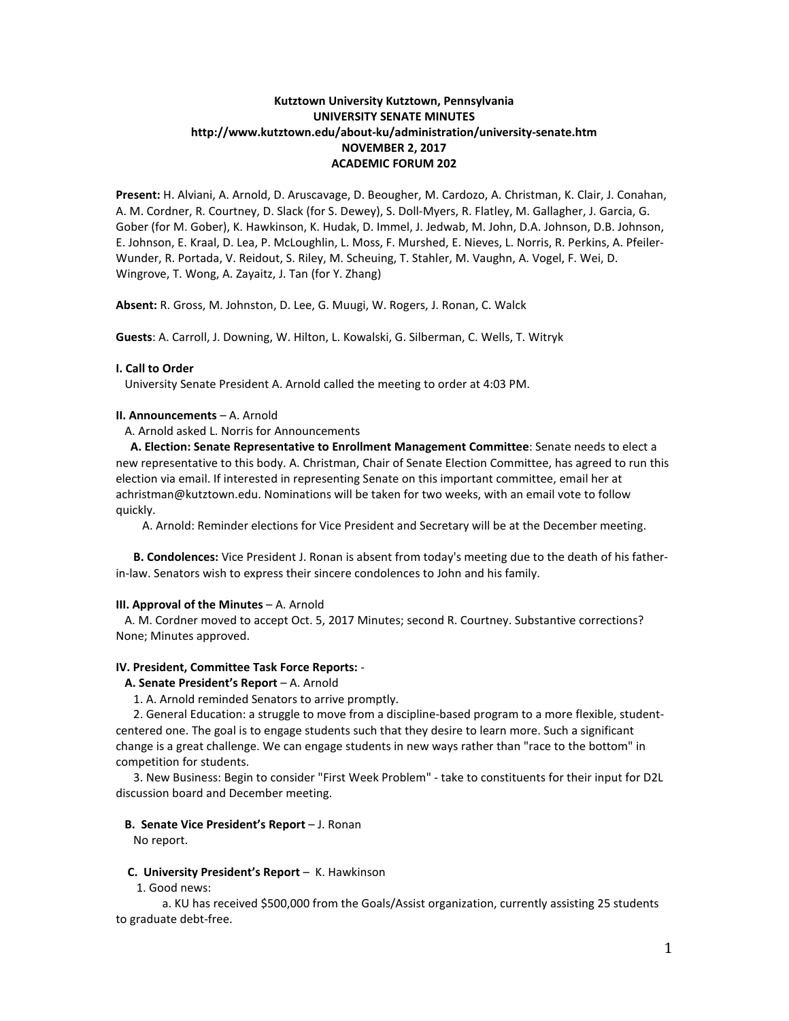# **Kutztown University Kutztown, Pennsylvania UNIVERSITY SENATE MINUTES http://www.kutztown.edu/about-ku/administration/university-senate.htm NOVEMBER 2, 2017 ACADEMIC FORUM 202**

**Present:** H. Alviani, A. Arnold, D. Aruscavage, D. Beougher, M. Cardozo, A. Christman, K. Clair, J. Conahan, A. M. Cordner, R. Courtney, D. Slack (for S. Dewey), S. Doll-Myers, R. Flatley, M. Gallagher, J. Garcia, G. Gober (for M. Gober), K. Hawkinson, K. Hudak, D. Immel, J. Jedwab, M. John, D.A. Johnson, D.B. Johnson, E. Johnson, E. Kraal, D. Lea, P. McLoughlin, L. Moss, F. Murshed, E. Nieves, L. Norris, R. Perkins, A. Pfeiler-Wunder, R. Portada, V. Reidout, S. Riley, M. Scheuing, T. Stahler, M. Vaughn, A. Vogel, F. Wei, D. Wingrove, T. Wong, A. Zayaitz, J. Tan (for Y. Zhang)

**Absent:** R. Gross, M. Johnston, D. Lee, G. Muugi, W. Rogers, J. Ronan, C. Walck

**Guests**: A. Carroll, J. Downing, W. Hilton, L. Kowalski, G. Silberman, C. Wells, T. Witryk

## **I. Call to Order**

University Senate President A. Arnold called the meeting to order at 4:03 PM.

### **II. Announcements** – A. Arnold

A. Arnold asked L. Norris for Announcements

 **A. Election: Senate Representative to Enrollment Management Committee**: Senate needs to elect a new representative to this body. A. Christman, Chair of Senate Election Committee, has agreed to run this election via email. If interested in representing Senate on this important committee, email her at achristman@kutztown.edu. Nominations will be taken for two weeks, with an email vote to follow quickly.

A. Arnold: Reminder elections for Vice President and Secretary will be at the December meeting.

 **B. Condolences:** Vice President J. Ronan is absent from today's meeting due to the death of his fatherin-law. Senators wish to express their sincere condolences to John and his family.

## **III. Approval of the Minutes** – A. Arnold

 A. M. Cordner moved to accept Oct. 5, 2017 Minutes; second R. Courtney. Substantive corrections? None; Minutes approved.

## **IV. President, Committee Task Force Reports:** -

#### **A. Senate President's Report** – A. Arnold

1. A. Arnold reminded Senators to arrive promptly.

 2. General Education: a struggle to move from a discipline-based program to a more flexible, studentcentered one. The goal is to engage students such that they desire to learn more. Such a significant change is a great challenge. We can engage students in new ways rather than "race to the bottom" in competition for students.

 3. New Business: Begin to consider "First Week Problem" - take to constituents for their input for D2L discussion board and December meeting.

#### **B. Senate Vice President's Report** – J. Ronan

No report.

# **C. University President's Report** – K. Hawkinson

1. Good news:

 a. KU has received \$500,000 from the Goals/Assist organization, currently assisting 25 students to graduate debt-free.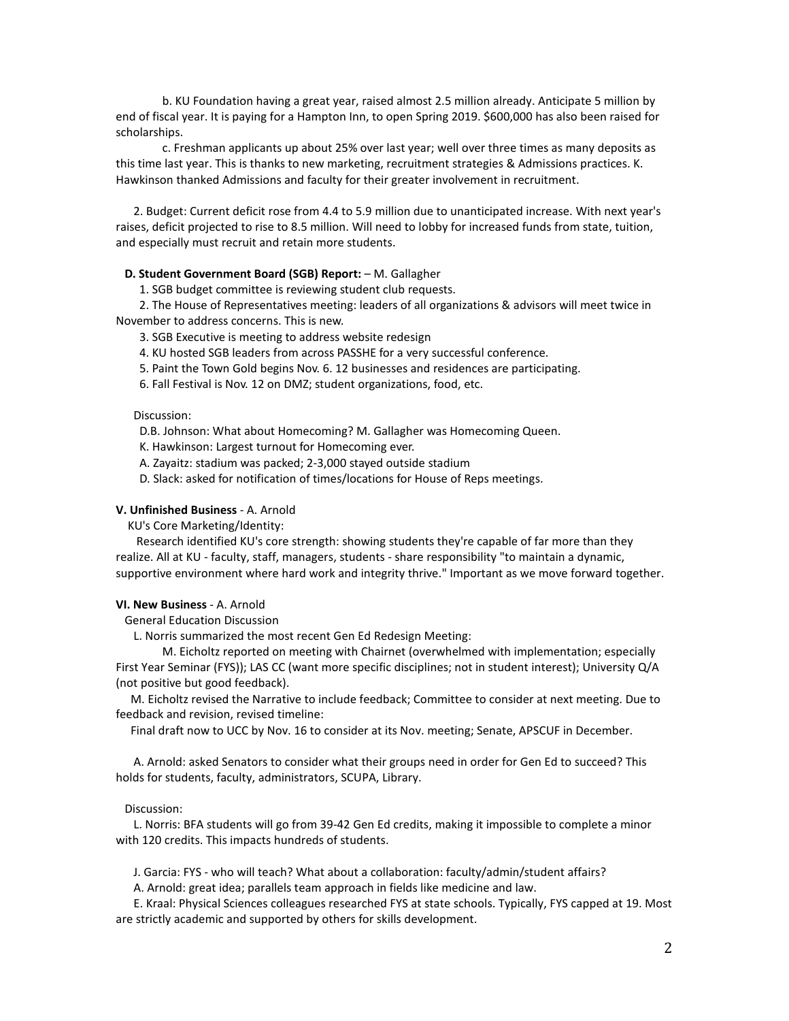b. KU Foundation having a great year, raised almost 2.5 million already. Anticipate 5 million by end of fiscal year. It is paying for a Hampton Inn, to open Spring 2019. \$600,000 has also been raised for scholarships.

c. Freshman applicants up about 25% over last year; well over three times as many deposits as this time last year. This is thanks to new marketing, recruitment strategies & Admissions practices. K. Hawkinson thanked Admissions and faculty for their greater involvement in recruitment.

 2. Budget: Current deficit rose from 4.4 to 5.9 million due to unanticipated increase. With next year's raises, deficit projected to rise to 8.5 million. Will need to lobby for increased funds from state, tuition, and especially must recruit and retain more students.

### **D. Student Government Board (SGB) Report:** - M. Gallagher

1. SGB budget committee is reviewing student club requests.

 2. The House of Representatives meeting: leaders of all organizations & advisors will meet twice in November to address concerns. This is new.

3. SGB Executive is meeting to address website redesign

4. KU hosted SGB leaders from across PASSHE for a very successful conference.

5. Paint the Town Gold begins Nov. 6. 12 businesses and residences are participating.

6. Fall Festival is Nov. 12 on DMZ; student organizations, food, etc.

#### Discussion:

D.B. Johnson: What about Homecoming? M. Gallagher was Homecoming Queen.

K. Hawkinson: Largest turnout for Homecoming ever.

- A. Zayaitz: stadium was packed; 2-3,000 stayed outside stadium
- D. Slack: asked for notification of times/locations for House of Reps meetings.

#### **V. Unfinished Business** - A. Arnold

KU's Core Marketing/Identity:

 Research identified KU's core strength: showing students they're capable of far more than they realize. All at KU - faculty, staff, managers, students - share responsibility "to maintain a dynamic, supportive environment where hard work and integrity thrive." Important as we move forward together.

# **VI. New Business** - A. Arnold

General Education Discussion

L. Norris summarized the most recent Gen Ed Redesign Meeting:

M. Eicholtz reported on meeting with Chairnet (overwhelmed with implementation; especially First Year Seminar (FYS)); LAS CC (want more specific disciplines; not in student interest); University Q/A (not positive but good feedback).

 M. Eicholtz revised the Narrative to include feedback; Committee to consider at next meeting. Due to feedback and revision, revised timeline:

Final draft now to UCC by Nov. 16 to consider at its Nov. meeting; Senate, APSCUF in December.

 A. Arnold: asked Senators to consider what their groups need in order for Gen Ed to succeed? This holds for students, faculty, administrators, SCUPA, Library.

#### Discussion:

 L. Norris: BFA students will go from 39-42 Gen Ed credits, making it impossible to complete a minor with 120 credits. This impacts hundreds of students.

J. Garcia: FYS - who will teach? What about a collaboration: faculty/admin/student affairs?

A. Arnold: great idea; parallels team approach in fields like medicine and law.

 E. Kraal: Physical Sciences colleagues researched FYS at state schools. Typically, FYS capped at 19. Most are strictly academic and supported by others for skills development.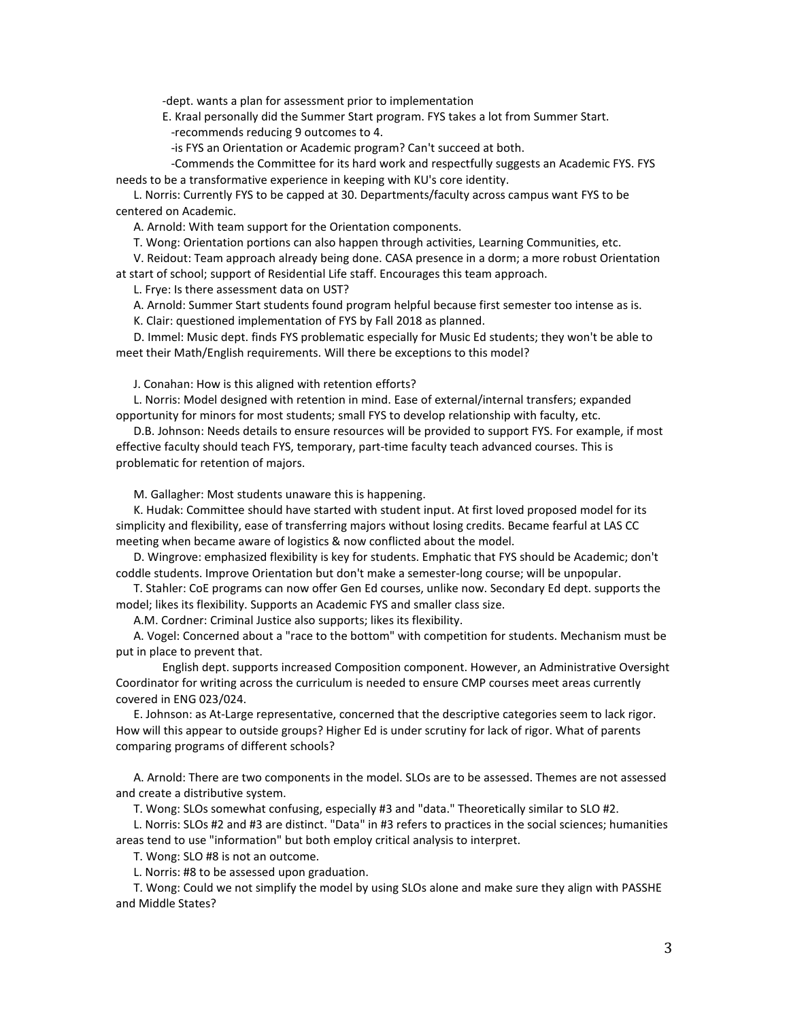-dept. wants a plan for assessment prior to implementation

E. Kraal personally did the Summer Start program. FYS takes a lot from Summer Start. -recommends reducing 9 outcomes to 4.

-is FYS an Orientation or Academic program? Can't succeed at both.

 -Commends the Committee for its hard work and respectfully suggests an Academic FYS. FYS needs to be a transformative experience in keeping with KU's core identity.

 L. Norris: Currently FYS to be capped at 30. Departments/faculty across campus want FYS to be centered on Academic.

A. Arnold: With team support for the Orientation components.

T. Wong: Orientation portions can also happen through activities, Learning Communities, etc.

 V. Reidout: Team approach already being done. CASA presence in a dorm; a more robust Orientation at start of school; support of Residential Life staff. Encourages this team approach.

L. Frye: Is there assessment data on UST?

A. Arnold: Summer Start students found program helpful because first semester too intense as is.

K. Clair: questioned implementation of FYS by Fall 2018 as planned.

 D. Immel: Music dept. finds FYS problematic especially for Music Ed students; they won't be able to meet their Math/English requirements. Will there be exceptions to this model?

J. Conahan: How is this aligned with retention efforts?

 L. Norris: Model designed with retention in mind. Ease of external/internal transfers; expanded opportunity for minors for most students; small FYS to develop relationship with faculty, etc.

 D.B. Johnson: Needs details to ensure resources will be provided to support FYS. For example, if most effective faculty should teach FYS, temporary, part-time faculty teach advanced courses. This is problematic for retention of majors.

M. Gallagher: Most students unaware this is happening.

 K. Hudak: Committee should have started with student input. At first loved proposed model for its simplicity and flexibility, ease of transferring majors without losing credits. Became fearful at LAS CC meeting when became aware of logistics & now conflicted about the model.

 D. Wingrove: emphasized flexibility is key for students. Emphatic that FYS should be Academic; don't coddle students. Improve Orientation but don't make a semester-long course; will be unpopular.

 T. Stahler: CoE programs can now offer Gen Ed courses, unlike now. Secondary Ed dept. supports the model; likes its flexibility. Supports an Academic FYS and smaller class size.

A.M. Cordner: Criminal Justice also supports; likes its flexibility.

 A. Vogel: Concerned about a "race to the bottom" with competition for students. Mechanism must be put in place to prevent that.

English dept. supports increased Composition component. However, an Administrative Oversight Coordinator for writing across the curriculum is needed to ensure CMP courses meet areas currently covered in ENG 023/024.

 E. Johnson: as At-Large representative, concerned that the descriptive categories seem to lack rigor. How will this appear to outside groups? Higher Ed is under scrutiny for lack of rigor. What of parents comparing programs of different schools?

 A. Arnold: There are two components in the model. SLOs are to be assessed. Themes are not assessed and create a distributive system.

T. Wong: SLOs somewhat confusing, especially #3 and "data." Theoretically similar to SLO #2.

 L. Norris: SLOs #2 and #3 are distinct. "Data" in #3 refers to practices in the social sciences; humanities areas tend to use "information" but both employ critical analysis to interpret.

T. Wong: SLO #8 is not an outcome.

L. Norris: #8 to be assessed upon graduation.

 T. Wong: Could we not simplify the model by using SLOs alone and make sure they align with PASSHE and Middle States?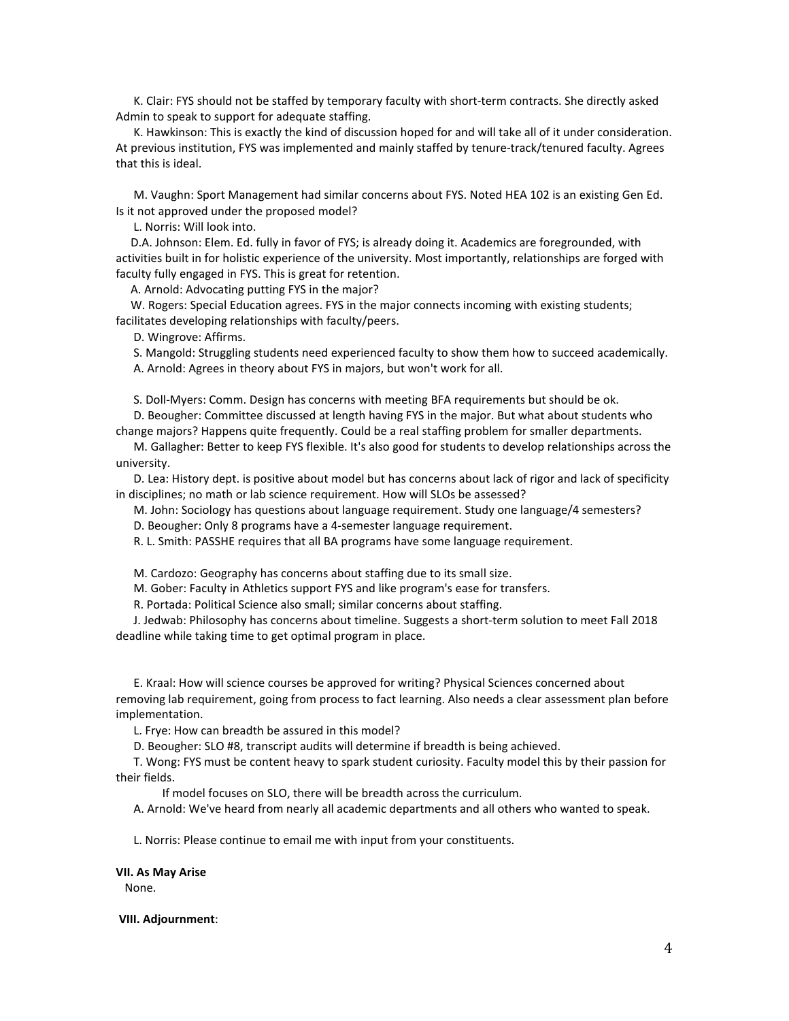K. Clair: FYS should not be staffed by temporary faculty with short-term contracts. She directly asked Admin to speak to support for adequate staffing.

 K. Hawkinson: This is exactly the kind of discussion hoped for and will take all of it under consideration. At previous institution, FYS was implemented and mainly staffed by tenure-track/tenured faculty. Agrees that this is ideal.

 M. Vaughn: Sport Management had similar concerns about FYS. Noted HEA 102 is an existing Gen Ed. Is it not approved under the proposed model?

L. Norris: Will look into.

 D.A. Johnson: Elem. Ed. fully in favor of FYS; is already doing it. Academics are foregrounded, with activities built in for holistic experience of the university. Most importantly, relationships are forged with faculty fully engaged in FYS. This is great for retention.

A. Arnold: Advocating putting FYS in the major?

 W. Rogers: Special Education agrees. FYS in the major connects incoming with existing students; facilitates developing relationships with faculty/peers.

D. Wingrove: Affirms.

S. Mangold: Struggling students need experienced faculty to show them how to succeed academically.

A. Arnold: Agrees in theory about FYS in majors, but won't work for all.

S. Doll-Myers: Comm. Design has concerns with meeting BFA requirements but should be ok.

 D. Beougher: Committee discussed at length having FYS in the major. But what about students who change majors? Happens quite frequently. Could be a real staffing problem for smaller departments.

 M. Gallagher: Better to keep FYS flexible. It's also good for students to develop relationships across the university.

 D. Lea: History dept. is positive about model but has concerns about lack of rigor and lack of specificity in disciplines; no math or lab science requirement. How will SLOs be assessed?

M. John: Sociology has questions about language requirement. Study one language/4 semesters?

D. Beougher: Only 8 programs have a 4-semester language requirement.

R. L. Smith: PASSHE requires that all BA programs have some language requirement.

M. Cardozo: Geography has concerns about staffing due to its small size.

M. Gober: Faculty in Athletics support FYS and like program's ease for transfers.

R. Portada: Political Science also small; similar concerns about staffing.

 J. Jedwab: Philosophy has concerns about timeline. Suggests a short-term solution to meet Fall 2018 deadline while taking time to get optimal program in place.

 E. Kraal: How will science courses be approved for writing? Physical Sciences concerned about removing lab requirement, going from process to fact learning. Also needs a clear assessment plan before implementation.

L. Frye: How can breadth be assured in this model?

D. Beougher: SLO #8, transcript audits will determine if breadth is being achieved.

 T. Wong: FYS must be content heavy to spark student curiosity. Faculty model this by their passion for their fields.

If model focuses on SLO, there will be breadth across the curriculum.

A. Arnold: We've heard from nearly all academic departments and all others who wanted to speak.

L. Norris: Please continue to email me with input from your constituents.

**VII. As May Arise** None.

**VIII. Adjournment**: